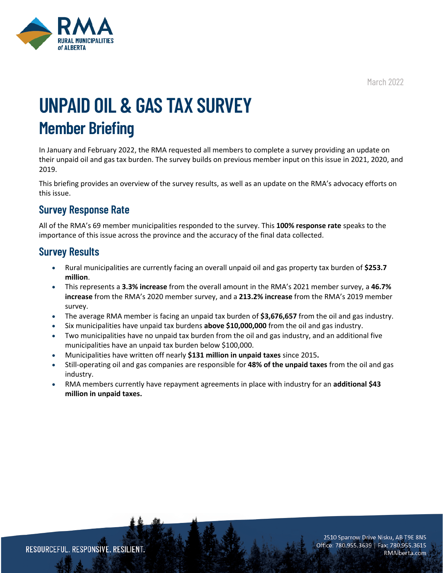March 2022



# **UNPAID OIL & GAS TAX SURVEY Member Briefing**

In January and February 2022, the RMA requested all members to complete a survey providing an update on their unpaid oil and gas tax burden. The survey builds on previous member input on this issue in 2021, 2020, and 2019.

This briefing provides an overview of the survey results, as well as an update on the RMA's advocacy efforts on this issue.

## **Survey Response Rate**

All of the RMA's 69 member municipalities responded to the survey. This **100% response rate** speaks to the importance of this issue across the province and the accuracy of the final data collected.

### **Survey Results**

- Rural municipalities are currently facing an overall unpaid oil and gas property tax burden of **\$253.7 million**.
- This represents a **3.3% increase** from the overall amount in the RMA's 2021 member survey, a **46.7% increase** from the RMA's 2020 member survey, and a **213.2% increase** from the RMA's 2019 member survey.
- The average RMA member is facing an unpaid tax burden of **\$3,676,657** from the oil and gas industry.
- Six municipalities have unpaid tax burdens **above \$10,000,000** from the oil and gas industry.
- Two municipalities have no unpaid tax burden from the oil and gas industry, and an additional five municipalities have an unpaid tax burden below \$100,000.
- Municipalities have written off nearly **\$131 million in unpaid taxes** since 2015**.**
- Still-operating oil and gas companies are responsible for **48% of the unpaid taxes** from the oil and gas industry.
- RMA members currently have repayment agreements in place with industry for an **additional \$43 million in unpaid taxes.**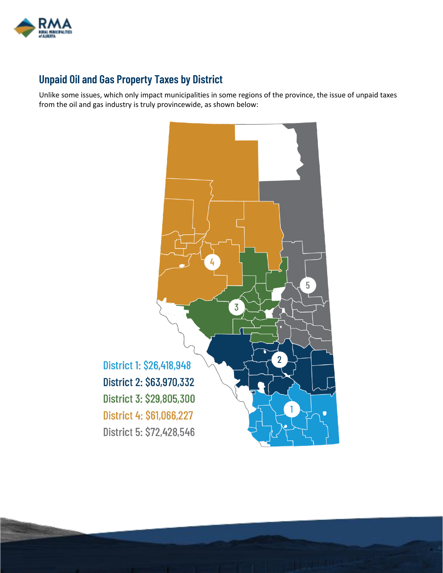

# **Unpaid Oil and Gas Property Taxes by District**

Unlike some issues, which only impact municipalities in some regions of the province, the issue of unpaid taxes from the oil and gas industry is truly provincewide, as shown below:

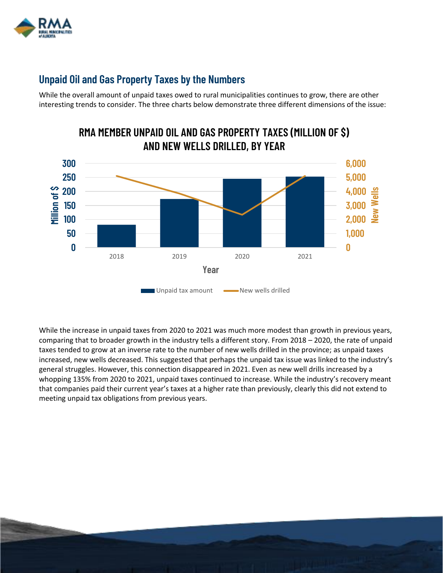

## **Unpaid Oil and Gas Property Taxes by the Numbers**

While the overall amount of unpaid taxes owed to rural municipalities continues to grow, there are other interesting trends to consider. The three charts below demonstrate three different dimensions of the issue:



While the increase in unpaid taxes from 2020 to 2021 was much more modest than growth in previous years, comparing that to broader growth in the industry tells a different story. From 2018 – 2020, the rate of unpaid taxes tended to grow at an inverse rate to the number of new wells drilled in the province; as unpaid taxes increased, new wells decreased. This suggested that perhaps the unpaid tax issue was linked to the industry's general struggles. However, this connection disappeared in 2021. Even as new well drills increased by a whopping 135% from 2020 to 2021, unpaid taxes continued to increase. While the industry's recovery meant that companies paid their current year's taxes at a higher rate than previously, clearly this did not extend to meeting unpaid tax obligations from previous years.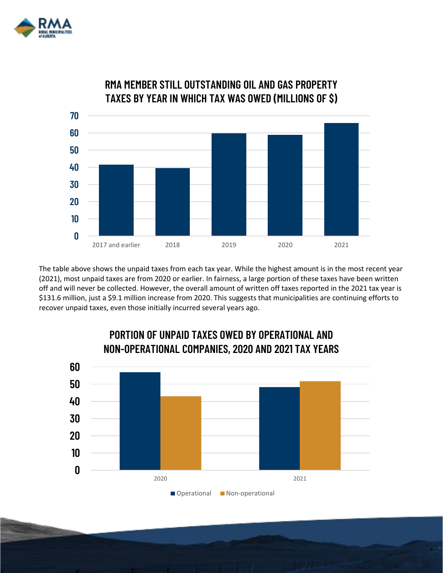



**RMA MEMBER STILL OUTSTANDING OIL AND GAS PROPERTY TAXES BY YEAR IN WHICH TAX WAS OWED (MILLIONS OF \$)**

The table above shows the unpaid taxes from each tax year. While the highest amount is in the most recent year (2021), most unpaid taxes are from 2020 or earlier. In fairness, a large portion of these taxes have been written off and will never be collected. However, the overall amount of written off taxes reported in the 2021 tax year is \$131.6 million, just a \$9.1 million increase from 2020. This suggests that municipalities are continuing efforts to recover unpaid taxes, even those initially incurred several years ago.



# **PORTION OF UNPAID TAXES OWED BY OPERATIONAL AND NON-OPERATIONAL COMPANIES, 2020 AND 2021 TAX YEARS**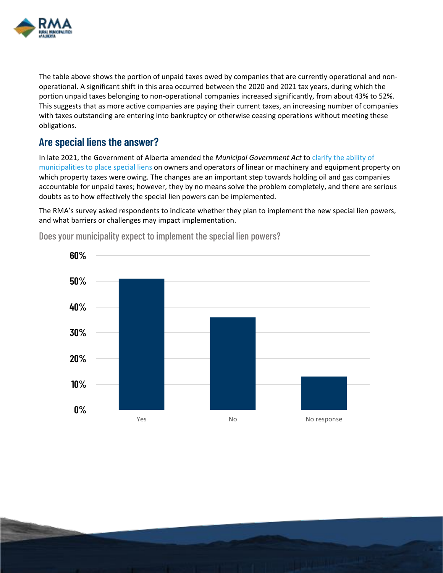

The table above shows the portion of unpaid taxes owed by companies that are currently operational and nonoperational. A significant shift in this area occurred between the 2020 and 2021 tax years, during which the portion unpaid taxes belonging to non-operational companies increased significantly, from about 43% to 52%. This suggests that as more active companies are paying their current taxes, an increasing number of companies with taxes outstanding are entering into bankruptcy or otherwise ceasing operations without meeting these obligations.

#### **Are special liens the answer?**

In late 2021, the Government of Alberta amended the *Municipal Government Act* t[o clarify the ability of](https://www.alberta.ca/assets/documents/ma-restoring-tax-accountability-fact-sheet.pdf)  [municipalities to place special liens](https://www.alberta.ca/assets/documents/ma-restoring-tax-accountability-fact-sheet.pdf) on owners and operators of linear or machinery and equipment property on which property taxes were owing. The changes are an important step towards holding oil and gas companies accountable for unpaid taxes; however, they by no means solve the problem completely, and there are serious doubts as to how effectively the special lien powers can be implemented.

The RMA's survey asked respondents to indicate whether they plan to implement the new special lien powers, and what barriers or challenges may impact implementation.



Does your municipality expect to implement the special lien powers?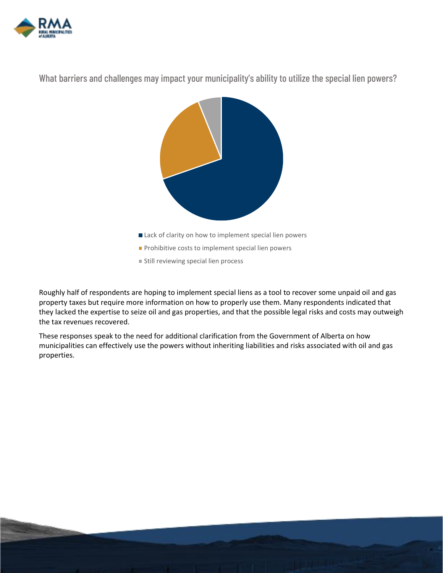

What barriers and challenges may impact your municipality's ability to utilize the special lien powers?



Roughly half of respondents are hoping to implement special liens as a tool to recover some unpaid oil and gas property taxes but require more information on how to properly use them. Many respondents indicated that they lacked the expertise to seize oil and gas properties, and that the possible legal risks and costs may outweigh the tax revenues recovered.

These responses speak to the need for additional clarification from the Government of Alberta on how municipalities can effectively use the powers without inheriting liabilities and risks associated with oil and gas properties.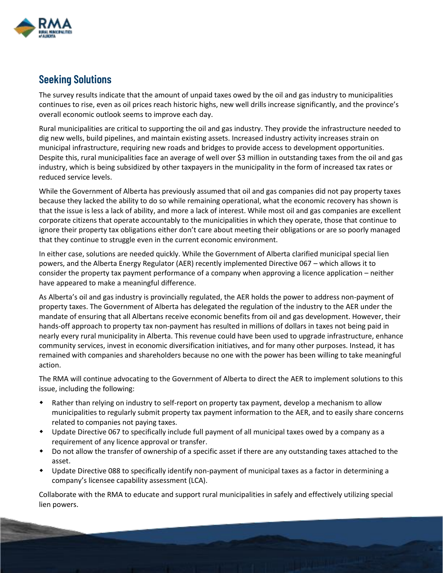

## **Seeking Solutions**

The survey results indicate that the amount of unpaid taxes owed by the oil and gas industry to municipalities continues to rise, even as oil prices reach historic highs, new well drills increase significantly, and the province's overall economic outlook seems to improve each day.

Rural municipalities are critical to supporting the oil and gas industry. They provide the infrastructure needed to dig new wells, build pipelines, and maintain existing assets. Increased industry activity increases strain on municipal infrastructure, requiring new roads and bridges to provide access to development opportunities. Despite this, rural municipalities face an average of well over \$3 million in outstanding taxes from the oil and gas industry, which is being subsidized by other taxpayers in the municipality in the form of increased tax rates or reduced service levels.

While the Government of Alberta has previously assumed that oil and gas companies did not pay property taxes because they lacked the ability to do so while remaining operational, what the economic recovery has shown is that the issue is less a lack of ability, and more a lack of interest. While most oil and gas companies are excellent corporate citizens that operate accountably to the municipalities in which they operate, those that continue to ignore their property tax obligations either don't care about meeting their obligations or are so poorly managed that they continue to struggle even in the current economic environment.

In either case, solutions are needed quickly. While the Government of Alberta clarified municipal special lien powers, and the Alberta Energy Regulator (AER) recently implemented Directive 067 – which allows it to consider the property tax payment performance of a company when approving a licence application – neither have appeared to make a meaningful difference.

As Alberta's oil and gas industry is provincially regulated, the AER holds the power to address non-payment of property taxes. The Government of Alberta has delegated the regulation of the industry to the AER under the mandate of ensuring that all Albertans receive economic benefits from oil and gas development. However, their hands-off approach to property tax non-payment has resulted in millions of dollars in taxes not being paid in nearly every rural municipality in Alberta. This revenue could have been used to upgrade infrastructure, enhance community services, invest in economic diversification initiatives, and for many other purposes. Instead, it has remained with companies and shareholders because no one with the power has been willing to take meaningful action.

The RMA will continue advocating to the Government of Alberta to direct the AER to implement solutions to this issue, including the following:

- Rather than relying on industry to self-report on property tax payment, develop a mechanism to allow municipalities to regularly submit property tax payment information to the AER, and to easily share concerns related to companies not paying taxes.
- Update Directive 067 to specifically include full payment of all municipal taxes owed by a company as a requirement of any licence approval or transfer.
- Do not allow the transfer of ownership of a specific asset if there are any outstanding taxes attached to the asset.
- Update Directive 088 to specifically identify non-payment of municipal taxes as a factor in determining a company's licensee capability assessment (LCA).

Collaborate with the RMA to educate and support rural municipalities in safely and effectively utilizing special lien powers.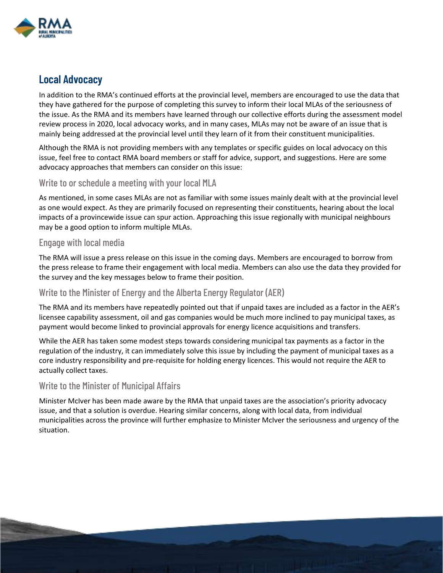

#### **Local Advocacy**

In addition to the RMA's continued efforts at the provincial level, members are encouraged to use the data that they have gathered for the purpose of completing this survey to inform their local MLAs of the seriousness of the issue. As the RMA and its members have learned through our collective efforts during the assessment model review process in 2020, local advocacy works, and in many cases, MLAs may not be aware of an issue that is mainly being addressed at the provincial level until they learn of it from their constituent municipalities.

Although the RMA is not providing members with any templates or specific guides on local advocacy on this issue, feel free to contact RMA board members or staff for advice, support, and suggestions. Here are some advocacy approaches that members can consider on this issue:

#### Write to or schedule a meeting with your local MLA

As mentioned, in some cases MLAs are not as familiar with some issues mainly dealt with at the provincial level as one would expect. As they are primarily focused on representing their constituents, hearing about the local impacts of a provincewide issue can spur action. Approaching this issue regionally with municipal neighbours may be a good option to inform multiple MLAs.

#### Engage with local media

The RMA will issue a press release on this issue in the coming days. Members are encouraged to borrow from the press release to frame their engagement with local media. Members can also use the data they provided for the survey and the key messages below to frame their position.

#### Write to the Minister of Energy and the Alberta Energy Regulator (AER)

The RMA and its members have repeatedly pointed out that if unpaid taxes are included as a factor in the AER's licensee capability assessment, oil and gas companies would be much more inclined to pay municipal taxes, as payment would become linked to provincial approvals for energy licence acquisitions and transfers.

While the AER has taken some modest steps towards considering municipal tax payments as a factor in the regulation of the industry, it can immediately solve this issue by including the payment of municipal taxes as a core industry responsibility and pre-requisite for holding energy licences. This would not require the AER to actually collect taxes.

#### Write to the Minister of Municipal Affairs

Minister McIver has been made aware by the RMA that unpaid taxes are the association's priority advocacy issue, and that a solution is overdue. Hearing similar concerns, along with local data, from individual municipalities across the province will further emphasize to Minister McIver the seriousness and urgency of the situation.